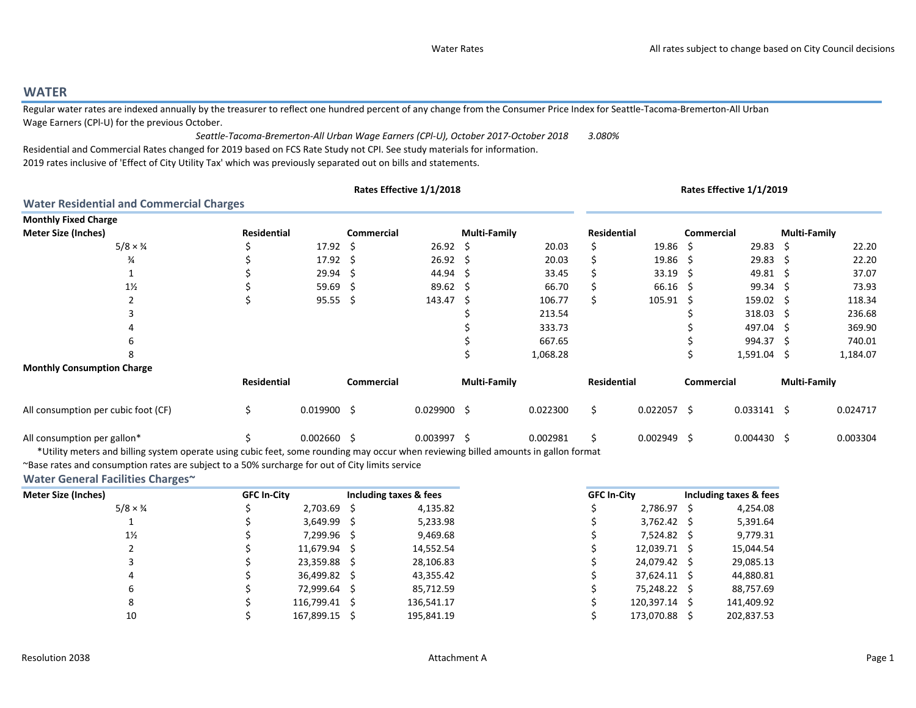## WATER

 Regular water rates are indexed annually by the treasurer to reflect one hundred percent of any change from the Consumer Price Index for Seattle-Tacoma-Bremerton-All Urban Wage Earners (CPl-U) for the previous October.

3.080%Residential and Commercial Rates changed for 2019 based on FCS Rate Study not CPI. See study materials for information.2019 rates inclusive of 'Effect of City Utility Tax' which was previously separated out on bills and statements.Seattle-Tacoma-Bremerton-All Urban Wage Earners (CPl-U), October 2017-October 2018

|                                                 |             | Rates Effective 1/1/2018 |            |                  |                     |          |             |                  | Rates Effective 1/1/2019 |                     |                     |          |  |
|-------------------------------------------------|-------------|--------------------------|------------|------------------|---------------------|----------|-------------|------------------|--------------------------|---------------------|---------------------|----------|--|
| <b>Water Residential and Commercial Charges</b> |             |                          |            |                  |                     |          |             |                  |                          |                     |                     |          |  |
| <b>Monthly Fixed Charge</b>                     |             |                          |            |                  |                     |          |             |                  |                          |                     |                     |          |  |
| <b>Meter Size (Inches)</b>                      | Residential |                          | Commercial |                  | <b>Multi-Family</b> |          | Residential |                  | Commercial               |                     | <b>Multi-Family</b> |          |  |
| $5/8 \times \frac{3}{4}$                        |             | $17.92 \quad$ \$         |            | $26.92 \quad $$  |                     | 20.03    |             | $19.86 \quad$ \$ |                          | $29.83 \quad $$     |                     | 22.20    |  |
| $\frac{3}{4}$                                   |             | $17.92 \div$             |            | $26.92 \quad$ \$ |                     | 20.03    |             | 19.86            | -S                       | $29.83 \quad $$     |                     | 22.20    |  |
|                                                 |             | 29.94                    | S          | 44.94            |                     | 33.45    |             | 33.19            | -S                       | 49.81 \$            |                     | 37.07    |  |
| $1\frac{1}{2}$                                  |             | $59.69$ \$               |            | $89.62 \quad $$  |                     | 66.70    |             | 66.16            | -S                       | $99.34 \quad $$     |                     | 73.93    |  |
|                                                 |             | $95.55$ \$               |            | 143.47           | -S                  | 106.77   | S           | 105.91           | -S                       | $159.02 \quad$ \$   |                     | 118.34   |  |
|                                                 |             |                          |            |                  |                     | 213.54   |             |                  |                          | $318.03 \quad$ \$   |                     | 236.68   |  |
|                                                 |             |                          |            |                  |                     | 333.73   |             |                  |                          | 497.04 \$           |                     | 369.90   |  |
|                                                 |             |                          |            |                  |                     | 667.65   |             |                  |                          | 994.37 \$           |                     | 740.01   |  |
|                                                 |             |                          |            |                  |                     | 1,068.28 |             |                  |                          | $1,591.04$ \$       |                     | 1,184.07 |  |
| <b>Monthly Consumption Charge</b>               |             |                          |            |                  |                     |          |             |                  |                          |                     |                     |          |  |
|                                                 | Residential |                          | Commercial |                  | <b>Multi-Family</b> |          | Residential |                  | Commercial               |                     | <b>Multi-Family</b> |          |  |
| All consumption per cubic foot (CF)             | Ś.          | $0.019900 \quad $$       |            | $0.029900$ \$    |                     | 0.022300 | \$          | $0.022057$ \$    |                          | $0.033141 \quad$ \$ |                     | 0.024717 |  |
| All consumption per gallon*                     |             | $0.002660$ \$            |            | $0.003997$ \$    |                     | 0.002981 | \$.         | $0.002949$ \$    |                          | $0.004430 \quad $$  |                     | 0.003304 |  |

\*Utility meters and billing system operate using cubic feet, some rounding may occur when reviewing billed amounts in gallon format.

~Base rates and consumption rates are subject to a 50% surcharge for out of City limits service

#### Water General Facilities Charges~

| <b>Meter Size (Inches)</b> | <b>GFC In-City</b> |               | Including taxes & fees |
|----------------------------|--------------------|---------------|------------------------|
| $5/8 \times \frac{3}{4}$   |                    | $2,703.69$ \$ | 4,135.82               |
|                            |                    | $3,649.99$ \$ | 5,233.98               |
| $1\frac{1}{2}$             |                    | 7,299.96 \$   | 9,469.68               |
|                            |                    | 11,679.94 \$  | 14,552.54              |
|                            |                    | 23,359.88 \$  | 28,106.83              |
| 4                          |                    | 36,499.82 \$  | 43,355.42              |
| 6                          |                    | 72,999.64 \$  | 85,712.59              |
| 8                          |                    | 116,799.41 \$ | 136,541.17             |
| 10                         |                    | 167,899.15 \$ | 195,841.19             |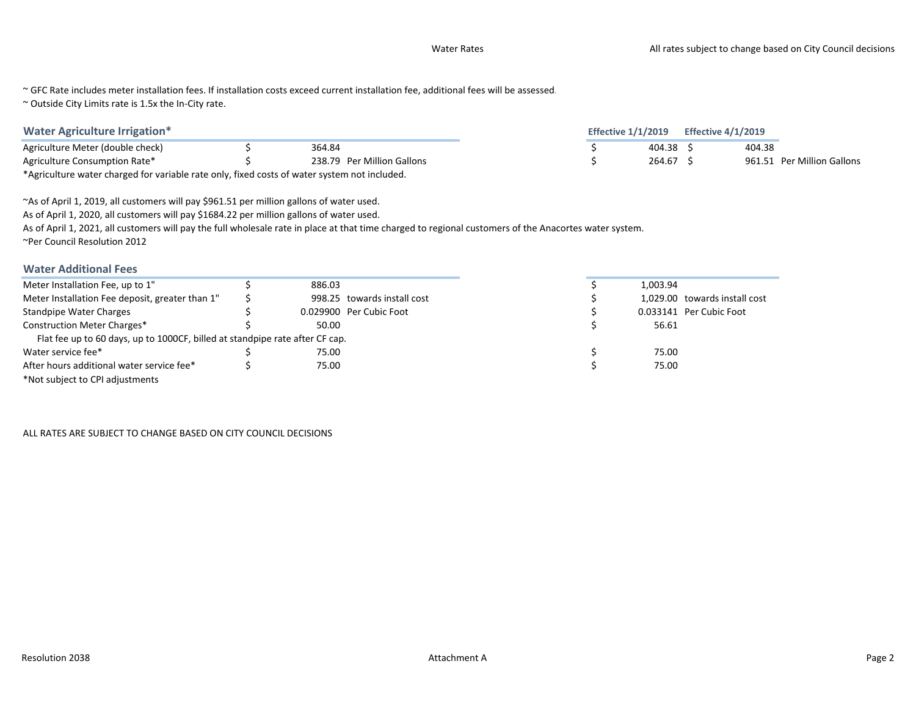~ GFC Rate includes meter installation fees. If installation costs exceed current installation fee, additional fees will be assessed.

~ Outside City Limits rate is 1.5x the In-City rate.

\*Agriculture water charged for variable rate only, fixed costs of water system not included.

~As of April 1, 2019, all customers will pay \$961.51 per million gallons of water used.

As of April 1, 2020, all customers will pay \$1684.22 per million gallons of water used.

As of April 1, 2021, all customers will pay the full wholesale rate in place at that time charged to regional customers of the Anacortes water system.

~Per Council Resolution 2012

### Water Additional Fees

| Meter Installation Fee, up to 1"                                             | 886.03 |                             |
|------------------------------------------------------------------------------|--------|-----------------------------|
| Meter Installation Fee deposit, greater than 1"                              |        | 998.25 towards install cost |
| <b>Standpipe Water Charges</b>                                               |        | 0.029900 Per Cubic Foot     |
| <b>Construction Meter Charges*</b>                                           | 50.00  |                             |
| Flat fee up to 60 days, up to 1000CF, billed at standpipe rate after CF cap. |        |                             |
| Water service fee*                                                           | 75.00  |                             |
| After hours additional water service fee*                                    | 75.00  |                             |
| *Not subject to CPI adjustments                                              |        |                             |

ALL RATES ARE SUBJECT TO CHANGE BASED ON CITY COUNCIL DECISIONS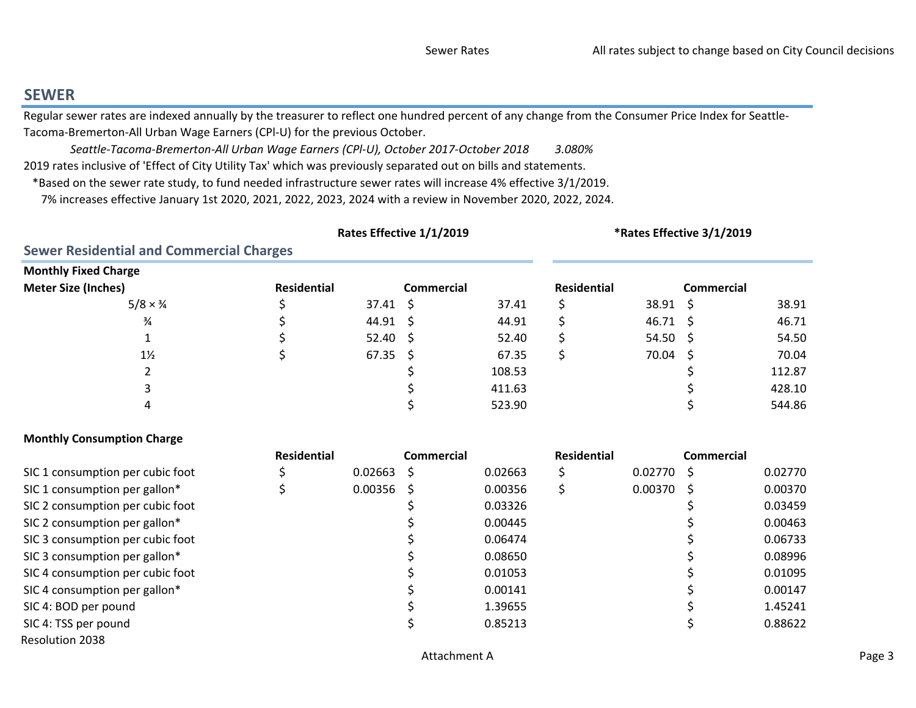## SEWER

 Regular sewer rates are indexed annually by the treasurer to reflect one hundred percent of any change from the Consumer Price Index for Seattle-Tacoma-Bremerton-All Urban Wage Earners (CPl-U) for the previous October.

3.080% 2019 rates inclusive of 'Effect of City Utility Tax' which was previously separated out on bills and statements. Seattle-Tacoma-Bremerton-All Urban Wage Earners (CPl-U), October 2017-October 2018

\*Based on the sewer rate study, to fund needed infrastructure sewer rates will increase 4% effective 3/1/2019.

7% increases effective January 1st 2020, 2021, 2022, 2023, 2024 with a review in November 2020, 2022, 2024.

|                                                 | Rates Effective 1/1/2019 | *Rates Effective 3/1/2019 |            |        |             |                 |                   |        |
|-------------------------------------------------|--------------------------|---------------------------|------------|--------|-------------|-----------------|-------------------|--------|
| <b>Sewer Residential and Commercial Charges</b> |                          |                           |            |        |             |                 |                   |        |
| <b>Monthly Fixed Charge</b>                     |                          |                           |            |        |             |                 |                   |        |
| <b>Meter Size (Inches)</b>                      | <b>Residential</b>       |                           | Commercial |        | Residential |                 | <b>Commercial</b> |        |
| $5/8 \times \frac{3}{4}$                        |                          | $37.41 \pm 5$             |            | 37.41  |             | $38.91 \quad $$ |                   | 38.91  |
| $\frac{3}{4}$                                   |                          | $44.91 \pm$               |            | 44.91  |             | 46.71           | - S               | 46.71  |
|                                                 |                          | $52.40 \pm 5$             |            | 52.40  |             | 54.50           | - S               | 54.50  |
| $1\frac{1}{2}$                                  |                          | $67.35 \quad $$           |            | 67.35  |             | $70.04 \div$    |                   | 70.04  |
|                                                 |                          |                           |            | 108.53 |             |                 |                   | 112.87 |
|                                                 |                          |                           |            | 411.63 |             |                 |                   | 428.10 |
|                                                 |                          |                           |            | 523.90 |             |                 |                   | 544.86 |

### Monthly Consumption Charge

|                                  | <b>Residential</b> |         | <b>Commercial</b> |         | <b>Residential</b> |                    | Commercial |         |
|----------------------------------|--------------------|---------|-------------------|---------|--------------------|--------------------|------------|---------|
| SIC 1 consumption per cubic foot |                    | 0.02663 |                   | 0.02663 |                    | $0.02770 \quad$ \$ |            | 0.02770 |
| SIC 1 consumption per gallon*    |                    | 0.00356 | S                 | 0.00356 |                    | $0.00370 \pm$      |            | 0.00370 |
| SIC 2 consumption per cubic foot |                    |         |                   | 0.03326 |                    |                    |            | 0.03459 |
| SIC 2 consumption per gallon*    |                    |         |                   | 0.00445 |                    |                    |            | 0.00463 |
| SIC 3 consumption per cubic foot |                    |         |                   | 0.06474 |                    |                    |            | 0.06733 |
| SIC 3 consumption per gallon*    |                    |         |                   | 0.08650 |                    |                    |            | 0.08996 |
| SIC 4 consumption per cubic foot |                    |         |                   | 0.01053 |                    |                    |            | 0.01095 |
| SIC 4 consumption per gallon*    |                    |         |                   | 0.00141 |                    |                    |            | 0.00147 |
| SIC 4: BOD per pound             |                    |         |                   | 1.39655 |                    |                    |            | 1.45241 |
| SIC 4: TSS per pound             |                    |         |                   | 0.85213 |                    |                    |            | 0.88622 |
| <b>Resolution 2038</b>           |                    |         |                   |         |                    |                    |            |         |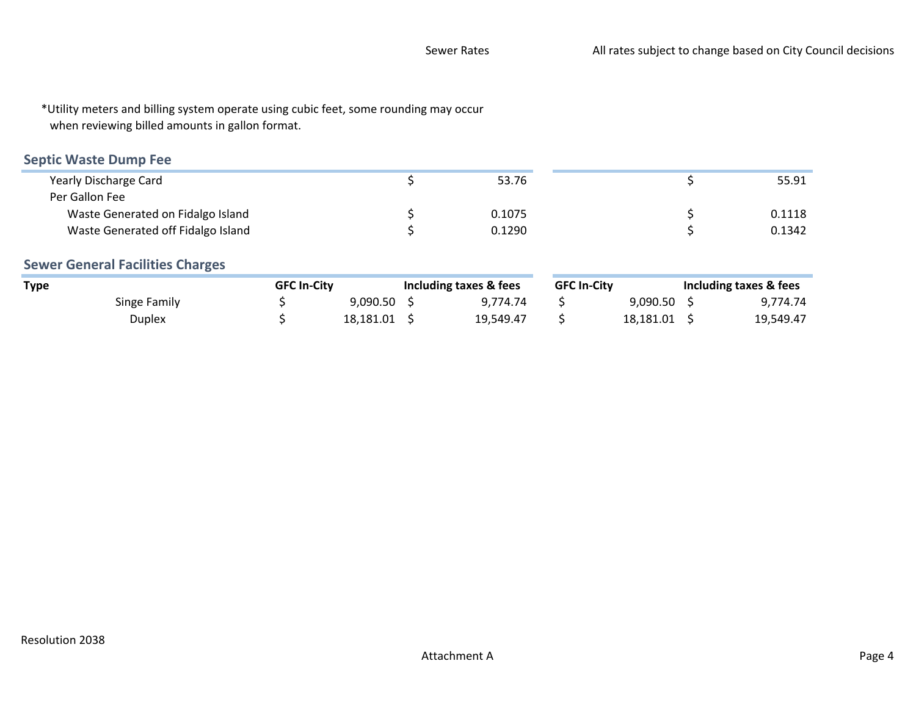\*Utility meters and billing system operate using cubic feet, some rounding may occurwhen reviewing billed amounts in gallon format.

## Septic Waste Dump Fee

| 53.76  | 55.91  |
|--------|--------|
|        |        |
| 0.1075 | 0.1118 |
| 0.1290 | 0.1342 |
|        |        |

## Sewer General Facilities Charges

| Type         | <b>GFC In-City</b> |           | Including taxes & fees |           | <b>GFC In-City</b> |           | Including taxes & fees |           |
|--------------|--------------------|-----------|------------------------|-----------|--------------------|-----------|------------------------|-----------|
| Singe Family |                    | 9.090.50  |                        | 9.774.74  |                    | 9.090.50  |                        | 9,774.74  |
| Duplex       |                    | 18.181.01 |                        | 19.549.47 |                    | 18.181.01 |                        | 19,549.47 |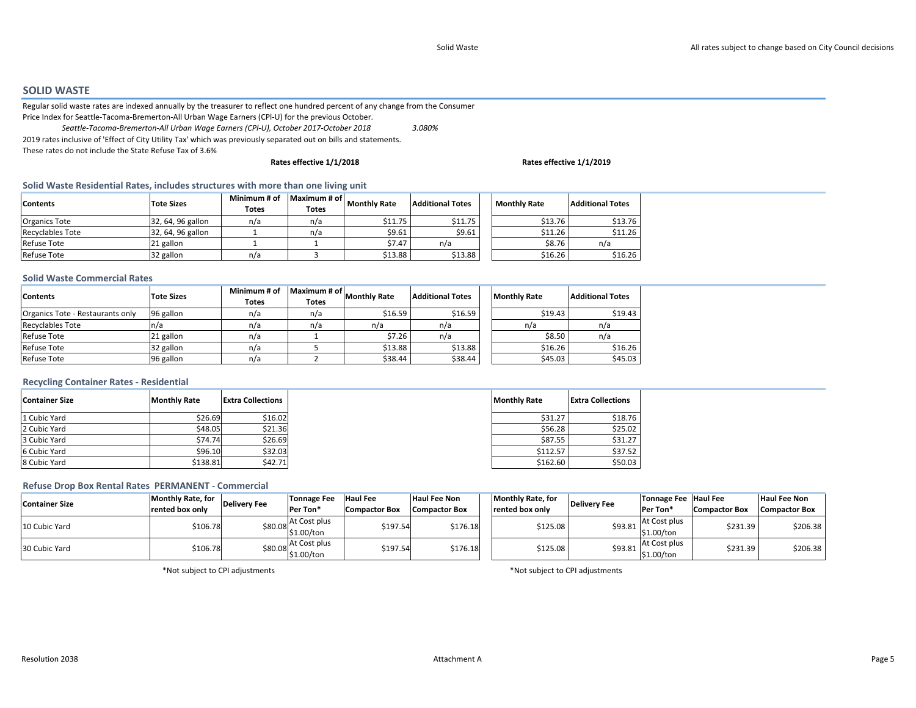#### SOLID WASTE

 Regular solid waste rates are indexed annually by the treasurer to reflect one hundred percent of any change from the Consumer Price Index for Seattle-Tacoma-Bremerton-All Urban Wage Earners (CPl-U) for the previous October.

3.080%2019 rates inclusive of 'Effect of City Utility Tax' which was previously separated out on bills and statements. These rates do not include the State Refuse Tax of 3.6%Seattle-Tacoma-Bremerton-All Urban Wage Earners (CPl-U), October 2017-October 2018

#### Rates effective 1/1/2018

#### Rates effective 1/1/2019

#### Solid Waste Residential Rates, includes structures with more than one living unit

| <b>Contents</b>         | Tote Sizes        | Minimum # of<br>Totes | Maximum # of<br><b>Totes</b> | <b>Monthly Rate</b> | <b>Additional Totes</b> | <b>Monthly Rate</b> | <b>Additional Totes</b> |
|-------------------------|-------------------|-----------------------|------------------------------|---------------------|-------------------------|---------------------|-------------------------|
| <b>Organics Tote</b>    | 32, 64, 96 gallon | n/a                   | n/a                          | \$11.75             | \$11.75                 | \$13.76             | \$13.76                 |
| <b>Recyclables Tote</b> | 32, 64, 96 gallon |                       | n/a                          | \$9.61              | \$9.61                  | \$11.26             | \$11.26                 |
| Refuse Tote             | 21 gallon         |                       |                              | \$7.47              | n/a                     | \$8.76              | n/a                     |
| Refuse Tote             | 32 gallon         | n/a                   |                              | \$13.88             | \$13.88                 | \$16.26             | \$16.26                 |

#### Solid Waste Commercial Rates

| <b>Contents</b>                  | <b>Tote Sizes</b> | Minimum # of<br><b>Totes</b> | Maximum # of<br>Totes | <b>Monthly Rate</b> | <b>Additional Totes</b><br><b>Monthly Rate</b> |         | <b>Additional Totes</b> |
|----------------------------------|-------------------|------------------------------|-----------------------|---------------------|------------------------------------------------|---------|-------------------------|
| Organics Tote - Restaurants only | 96 gallon         | n/a                          | n/a                   | \$16.59             | \$16.59                                        | \$19.43 | \$19.43                 |
| <b>Recyclables Tote</b>          | n/a               | n/a                          | n/a                   | n/a                 | n/a                                            | n/a     | n/a                     |
| <b>Refuse Tote</b>               | 21 gallon         | n/a                          |                       | \$7.26              | n/a                                            | \$8.50  | n/a                     |
| <b>Refuse Tote</b>               | 32 gallon         | n/a                          |                       | \$13.88             | \$13.88                                        | \$16.26 | \$16.26                 |
| <b>Refuse Tote</b>               | 96 gallon         | n/a                          |                       | \$38.44             | \$38.44                                        | \$45.03 | \$45.03                 |

#### Recycling Container Rates - Residential

| Container Size | <b>Monthly Rate</b> | <b>Extra Collections</b> |
|----------------|---------------------|--------------------------|
| 1 Cubic Yard   | \$26.69             | \$16.02                  |
| 2 Cubic Yard   | \$48.05             | \$21.36                  |
| 3 Cubic Yard   | \$74.74             | \$26.69                  |
| 6 Cubic Yard   | \$96.10             | \$32.03                  |
| 8 Cubic Yard   | \$138.81            | \$42.71                  |

#### Refuse Drop Box Rental Rates PERMANENT - Commercial

| <b>Container Size</b> | <b>Monthly Rate, for</b> | <b>Delivery Fee</b> | <b>Tonnage Fee</b>                          | <b>Haul Fee</b>      | <b>Haul Fee Non</b>  | <b>Monthly Rate, for</b> | Deliverv Fee | Tonnage Fee Haul Fee       |                      | <b>Haul Fee Non</b>  |
|-----------------------|--------------------------|---------------------|---------------------------------------------|----------------------|----------------------|--------------------------|--------------|----------------------------|----------------------|----------------------|
|                       | rented box only          |                     | Per Ton*                                    | <b>Compactor Box</b> | <b>Compactor Box</b> | <b>Irented box only</b>  |              | Per Ton*                   | <b>Compactor Box</b> | <b>Compactor Box</b> |
| 10 Cubic Yard         | \$106.78                 |                     | At Cost plus<br>$$80.08 \choose $1.00$ /ton | \$197.54             | \$176.18             | \$125.08                 | \$93.81      | At Cost plus<br>\$1.00/ton | \$231.39             | \$206.38             |
| 30 Cubic Yard         | \$106.78                 | \$80.08             | At Cost plus<br>\$1.00/ton                  | \$197.54             | \$176.18             | \$125.08                 | \$93.81      | At Cost plus<br>\$1.00/ton | \$231.39             | \$206.38             |

\*Not subject to CPI adjustments

\*Not subject to CPI adjustments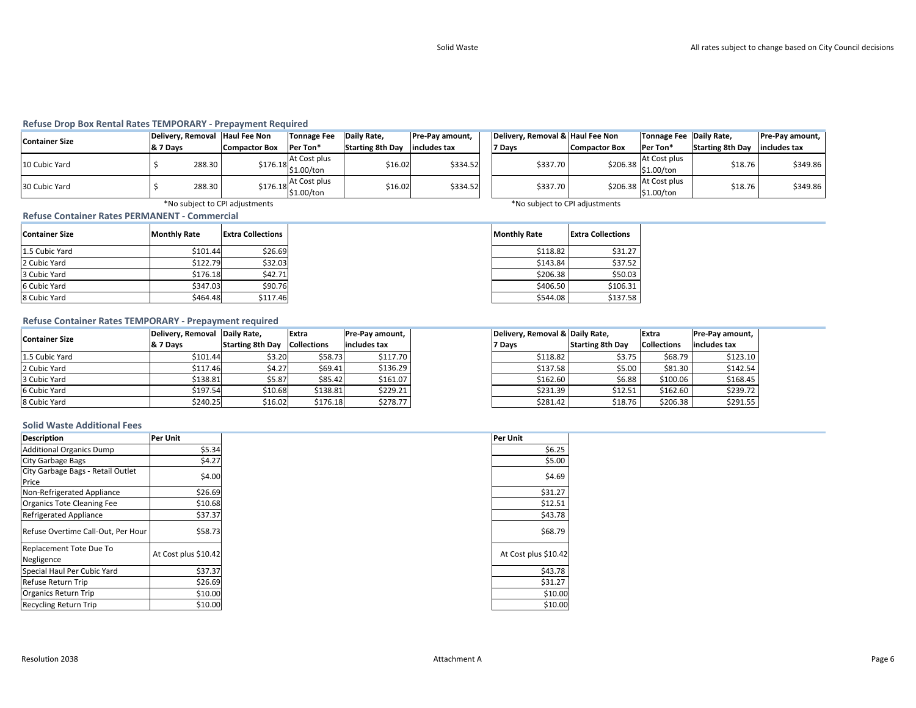#### Refuse Drop Box Rental Rates TEMPORARY - Prepayment Required

| <b>Container Size</b> |          |        | Delivery, Removal Haul Fee Non | Tonnage Fee                                                    | Daily Rate,             | <b>Pre-Pay amount,</b> | Delivery, Remova |
|-----------------------|----------|--------|--------------------------------|----------------------------------------------------------------|-------------------------|------------------------|------------------|
|                       | & 7 Davs |        | <b>Compactor Box</b>           | Per Ton*                                                       | <b>Starting 8th Dav</b> | lincludes tax          | 7 Days           |
| 10 Cubic Yard         |          | 288.30 |                                | At Cost plus<br>$\left  \frac{$176.18}{1.00}\right $ s1.00/ton | \$16.02                 | \$334.52               | \$337            |
| 30 Cubic Yard         |          | 288.30 |                                | At Cost plus<br>$$176.18$ $$1.00/t$ on                         | \$16.02                 | \$334.52               | \$337            |

| Fee  | Daily Rate,             | Pre-Pay amount, | Delivery, Removal & Haul Fee Non |                      | Tonnage Fee Daily Rate,                |                         | Pre-Pay amount, |  |
|------|-------------------------|-----------------|----------------------------------|----------------------|----------------------------------------|-------------------------|-----------------|--|
|      | <b>Starting 8th Day</b> | includes tax    | Days                             | <b>Compactor Box</b> | Per Ton*                               | <b>Starting 8th Day</b> | includes tax    |  |
| ılus | \$16.02                 | \$334.52        | \$337.70                         |                      | $$206.38$ At Cost plus<br>$$1.00/t$ on | \$18.76                 | \$349.86        |  |
| n    |                         |                 |                                  |                      |                                        |                         |                 |  |
| ılus | \$16.02                 | \$334.52        | \$337.70                         |                      | At Cost plus                           | \$18.76                 | \$349.86        |  |
| n    |                         |                 |                                  |                      | \$206.38 \$1.00/ton                    |                         |                 |  |

\*No subject to CPI adjustments

Refuse Container Rates PERMANENT - Commercial

| <b>Container Size</b> | <b>Monthly Rate</b> | <b>Extra Collections</b> |
|-----------------------|---------------------|--------------------------|
| 1.5 Cubic Yard        | \$101.44            | \$26.69                  |
| 2 Cubic Yard          | \$122.79            | \$32.03                  |
| 3 Cubic Yard          | \$176.18            | \$42.71                  |
| 6 Cubic Yard          | \$347.03            | \$90.76                  |
| 8 Cubic Yard          | \$464.48            | \$117.46                 |

\*No subject to CPI adjustments

| <b>Monthly Rate</b> | <b>Extra Collections</b> |
|---------------------|--------------------------|
| \$118.82            | \$31.27                  |
| \$143.84            | \$37.52                  |
| \$206.38            | \$50.03                  |
| \$406.50            | \$106.31                 |
| \$544.08            | \$137.58                 |

#### Refuse Container Rates TEMPORARY - Prepayment required

| <b>Container Size</b> | Delivery, Removal Daily Rate, |                                     | Extra    | <b>Pre-Pay amount,</b> | Delivery, Removal & Daily Rate, |                         | Extra              | Pre-Pay amount, |
|-----------------------|-------------------------------|-------------------------------------|----------|------------------------|---------------------------------|-------------------------|--------------------|-----------------|
|                       | <b>&amp; 7 Davs</b>           | <b>Starting 8th Day Collections</b> |          | includes tax           | 7 Days                          | <b>Starting 8th Day</b> | <b>Collections</b> | includes tax    |
| 1.5 Cubic Yard        | \$101.44                      | \$3.20                              | \$58.73  | \$117.70               | \$118.82                        | \$3.75                  | \$68.79            | \$123.10        |
| 2 Cubic Yard          | \$117.46                      | \$4.27                              | \$69.41  | \$136.29               | \$137.58                        | \$5.00                  | \$81.30            | \$142.54        |
| 3 Cubic Yard          | \$138.81                      | \$5.87                              | \$85.42  | \$161.07               | \$162.60                        | \$6.88                  | \$100.06           | \$168.45        |
| 6 Cubic Yard          | \$197.54                      | \$10.68                             | \$138.81 | \$229.21               | \$231.39                        | \$12.51                 | \$162.60           | \$239.72        |
| 8 Cubic Yard          | \$240.25                      | \$16.02                             | \$176.18 | \$278.77               | \$281.42                        | \$18.76                 | \$206.38           | \$291.55        |

#### Solid Waste Additional Fees

| <b>Description</b>                 | Per Unit             | Per Unit             |
|------------------------------------|----------------------|----------------------|
| <b>Additional Organics Dump</b>    | \$5.34               | \$6.25               |
| <b>City Garbage Bags</b>           | \$4.27               | \$5.00               |
| City Garbage Bags - Retail Outlet  | \$4.00               | \$4.69               |
| Price                              |                      |                      |
| Non-Refrigerated Appliance         | \$26.69              | \$31.27              |
| Organics Tote Cleaning Fee         | \$10.68              | \$12.51              |
| <b>Refrigerated Appliance</b>      | \$37.37              | \$43.78              |
| Refuse Overtime Call-Out, Per Hour | \$58.73              | \$68.79              |
| Replacement Tote Due To            |                      |                      |
| Negligence                         | At Cost plus \$10.42 | At Cost plus \$10.42 |
| Special Haul Per Cubic Yard        | \$37.37              | \$43.78              |
| Refuse Return Trip                 | \$26.69              | \$31.27              |
| <b>Organics Return Trip</b>        | \$10.00              | \$10.00              |
| <b>Recycling Return Trip</b>       | \$10.00              | \$10.00              |

| Per Unit |                      |
|----------|----------------------|
|          | \$6.25               |
|          | \$5.00               |
|          | \$4.69               |
|          | \$31.27              |
|          | \$12.51              |
|          | \$43.78              |
|          | \$68.79              |
|          | At Cost plus \$10.42 |
|          | \$43.78              |
|          | \$31.27              |
|          | \$10.00              |
|          | \$10.00              |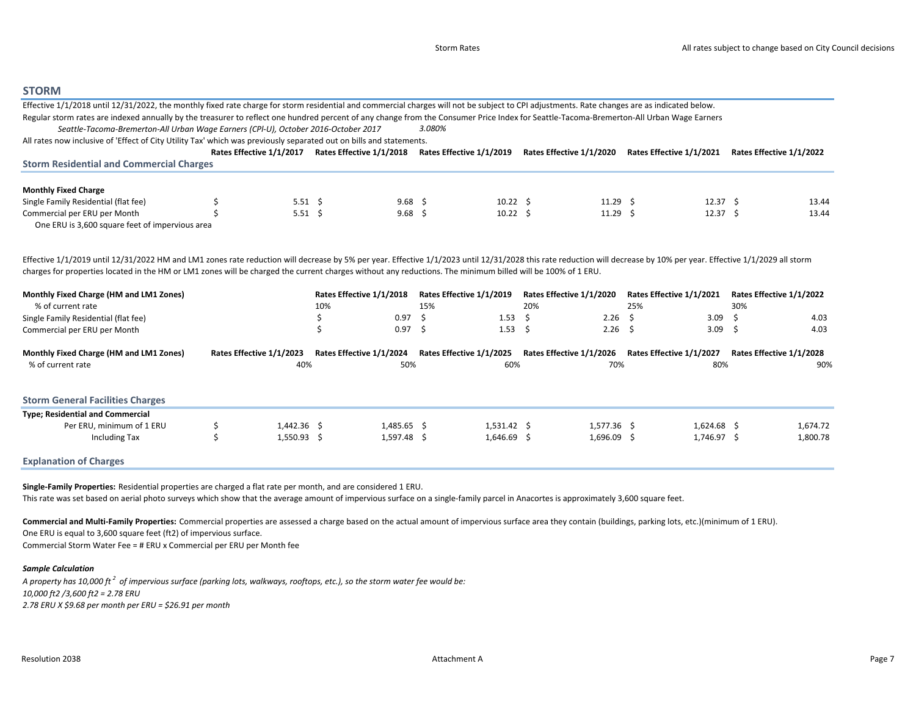#### **STORM**

| Effective 1/1/2018 until 12/31/2022, the monthly fixed rate charge for storm residential and commercial charges will not be subject to CPI adjustments. Rate changes are as indicated below.                          |                                                   |                |                            |                                    |     |                              |                          |                          |
|-----------------------------------------------------------------------------------------------------------------------------------------------------------------------------------------------------------------------|---------------------------------------------------|----------------|----------------------------|------------------------------------|-----|------------------------------|--------------------------|--------------------------|
| Regular storm rates are indexed annually by the treasurer to reflect one hundred percent of any change from the Consumer Price Index for Seattle-Tacoma-Bremerton-All Urban Wage Earners                              |                                                   |                |                            |                                    |     |                              |                          |                          |
| Seattle-Tacoma-Bremerton-All Urban Wage Earners (CPI-U), October 2016-October 2017                                                                                                                                    |                                                   |                |                            | 3.080%                             |     |                              |                          |                          |
| All rates now inclusive of 'Effect of City Utility Tax' which was previously separated out on bills and statements.                                                                                                   |                                                   |                |                            |                                    |     |                              |                          |                          |
|                                                                                                                                                                                                                       | Rates Effective 1/1/2017 Rates Effective 1/1/2018 |                |                            | Rates Effective 1/1/2019           |     | Rates Effective 1/1/2020     | Rates Effective 1/1/2021 | Rates Effective 1/1/2022 |
| <b>Storm Residential and Commercial Charges</b>                                                                                                                                                                       |                                                   |                |                            |                                    |     |                              |                          |                          |
| <b>Monthly Fixed Charge</b>                                                                                                                                                                                           |                                                   |                |                            |                                    |     |                              |                          |                          |
| Single Family Residential (flat fee)                                                                                                                                                                                  |                                                   | $5.51 \quad $$ | 9.68 <sup>5</sup>          | $10.22 \quad$ \$                   |     | $11.29$ \$                   | $12.37 \quad$ \$         | 13.44                    |
| Commercial per ERU per Month                                                                                                                                                                                          |                                                   | $5.51 \quad $$ | $9.68$ \$                  | $10.22 \quad$ \$                   |     | $11.29$ \$                   | $12.37 \quad$ \$         | 13.44                    |
| One ERU is 3,600 square feet of impervious area                                                                                                                                                                       |                                                   |                |                            |                                    |     |                              |                          |                          |
|                                                                                                                                                                                                                       |                                                   |                |                            |                                    |     |                              |                          |                          |
|                                                                                                                                                                                                                       |                                                   |                |                            |                                    |     |                              |                          |                          |
| Effective 1/1/2019 until 12/31/2022 HM and LM1 zones rate reduction will decrease by 5% per year. Effective 1/1/2023 until 12/31/2028 this rate reduction will decrease by 10% per year. Effective 1/1/2029 all storm |                                                   |                |                            |                                    |     |                              |                          |                          |
| charges for properties located in the HM or LM1 zones will be charged the current charges without any reductions. The minimum billed will be 100% of 1 ERU.                                                           |                                                   |                |                            |                                    |     |                              |                          |                          |
| Monthly Fixed Charge (HM and LM1 Zones)                                                                                                                                                                               |                                                   |                | Rates Effective 1/1/2018   | Rates Effective 1/1/2019           |     | Rates Effective 1/1/2020     | Rates Effective 1/1/2021 | Rates Effective 1/1/2022 |
| % of current rate                                                                                                                                                                                                     |                                                   | 10%            |                            | 15%                                | 20% |                              | 25%                      | 30%                      |
| Single Family Residential (flat fee)                                                                                                                                                                                  |                                                   |                | 0.97                       | -\$<br>1.53                        | Ŝ.  | 2.26                         | Ŝ.<br>3.09               | Ŝ<br>4.03                |
| Commercial per ERU per Month                                                                                                                                                                                          |                                                   | Ś              | 0.97                       | $1.53 \quad$ \$<br>-\$             |     | $2.26$ \$                    | 3.09                     | -Ś<br>4.03               |
| Monthly Fixed Charge (HM and LM1 Zones)                                                                                                                                                                               | Rates Effective 1/1/2023                          |                | Rates Effective 1/1/2024   | Rates Effective 1/1/2025           |     | Rates Effective 1/1/2026     | Rates Effective 1/1/2027 | Rates Effective 1/1/2028 |
| % of current rate                                                                                                                                                                                                     |                                                   | 40%            | 50%                        | 60%                                |     | 70%                          | 80%                      | 90%                      |
|                                                                                                                                                                                                                       |                                                   |                |                            |                                    |     |                              |                          |                          |
| <b>Storm General Facilities Charges</b>                                                                                                                                                                               |                                                   |                |                            |                                    |     |                              |                          |                          |
|                                                                                                                                                                                                                       |                                                   |                |                            |                                    |     |                              |                          |                          |
| <b>Type; Residential and Commercial</b>                                                                                                                                                                               |                                                   |                |                            |                                    |     |                              |                          |                          |
| Per ERU, minimum of 1 ERU                                                                                                                                                                                             | 1,442.36 \$<br>1,550.93 \$                        |                | 1,485.65 \$<br>1,597.48 \$ | $1,531.42 \quad$ \$<br>1,646.69 \$ |     | $1,577.36$ \$<br>1,696.09 \$ | $1,624.68$ \$            | 1,674.72                 |
| Including Tax                                                                                                                                                                                                         |                                                   |                |                            |                                    |     |                              | 1,746.97 \$              | 1,800.78                 |
| <b>Explanation of Charges</b>                                                                                                                                                                                         |                                                   |                |                            |                                    |     |                              |                          |                          |

Single-Family Properties: Residential properties are charged a flat rate per month, and are considered 1 ERU.This rate was set based on aerial photo surveys which show that the average amount of impervious surface on a single-family parcel in Anacortes is approximately 3,600 square feet.

Commercial and Multi-Family Properties: Commercial properties are assessed a charge based on the actual amount of impervious surface area they contain (buildings, parking lots, etc.)(minimum of 1 ERU). One ERU is equal to 3,600 square feet (ft2) of impervious surface.Commercial Storm Water Fee = # ERU x Commercial per ERU per Month fee

#### Sample Calculation

A property has 10,000 ft  $^{\rm 2}$  of impervious surface (parking lots, walkways, rooftops, etc.), so the storm water fee would be: 10,000 ft2 /3,600 ft2 = 2.78 ERU2.78 ERU X \$9.68 per month per ERU = \$26.91 per month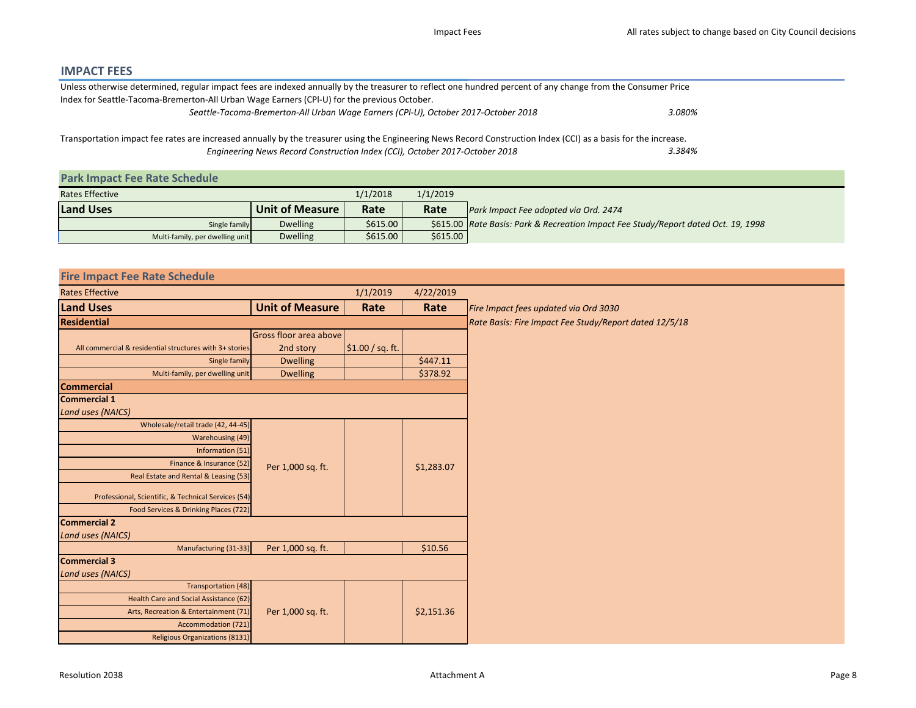## IMPACT FEES

| Unless otherwise determined, regular impact fees are indexed annually by the treasurer to reflect one hundred percent of any change from the Consumer Price                                                                                    |        |  |
|------------------------------------------------------------------------------------------------------------------------------------------------------------------------------------------------------------------------------------------------|--------|--|
| Index for Seattle-Tacoma-Bremerton-All Urban Wage Earners (CPI-U) for the previous October.                                                                                                                                                    |        |  |
| Seattle-Tacoma-Bremerton-All Urban Wage Earners (CPI-U), October 2017-October 2018                                                                                                                                                             | 3.080% |  |
| Transportation impact fee rates are increased annually by the treasurer using the Engineering News Record Construction Index (CCI) as a basis for the increase.<br>Engineering News Record Construction Index (CCI), October 2017-October 2018 | 3.384% |  |
| <b>Park Impact Fee Rate Schedule</b>                                                                                                                                                                                                           |        |  |
|                                                                                                                                                                                                                                                |        |  |

| <b>Rates Effective</b>          |                        | 1/1/2018  | 1/1/2019 |                                                                                      |
|---------------------------------|------------------------|-----------|----------|--------------------------------------------------------------------------------------|
| <b>Land Uses</b>                | <b>Unit of Measure</b> | Rate      | Rate     | Park Impact Fee adopted via Ord. 2474                                                |
| Single family                   | <b>Dwelling</b>        | \$615.00  |          | \$615.00   Rate Basis: Park & Recreation Impact Fee Study/Report dated Oct. 19, 1998 |
| Multi-family, per dwelling unit | <b>Dwelling</b>        | $$615.00$ | \$615.00 |                                                                                      |

| <b>Fire Impact Fee Rate Schedule</b>                    |                        |                  |            |                                                        |
|---------------------------------------------------------|------------------------|------------------|------------|--------------------------------------------------------|
| <b>Rates Effective</b>                                  |                        | 1/1/2019         | 4/22/2019  |                                                        |
| <b>Land Uses</b>                                        | <b>Unit of Measure</b> | Rate             | Rate       | Fire Impact fees updated via Ord 3030                  |
| <b>Residential</b>                                      |                        |                  |            | Rate Basis: Fire Impact Fee Study/Report dated 12/5/18 |
|                                                         | Gross floor area above |                  |            |                                                        |
| All commercial & residential structures with 3+ stories | 2nd story              | \$1.00 / sq. ft. |            |                                                        |
| Single family                                           | <b>Dwelling</b>        |                  | \$447.11   |                                                        |
| Multi-family, per dwelling unit                         | <b>Dwelling</b>        |                  | \$378.92   |                                                        |
| <b>Commercial</b>                                       |                        |                  |            |                                                        |
| <b>Commercial 1</b>                                     |                        |                  |            |                                                        |
| <b>Land uses (NAICS)</b>                                |                        |                  |            |                                                        |
| Wholesale/retail trade (42, 44-45)                      |                        |                  |            |                                                        |
| Warehousing (49)                                        |                        |                  |            |                                                        |
| Information (51)                                        |                        |                  |            |                                                        |
| Finance & Insurance (52)                                | Per 1,000 sq. ft.      |                  | \$1,283.07 |                                                        |
| Real Estate and Rental & Leasing (53)                   |                        |                  |            |                                                        |
| Professional, Scientific, & Technical Services (54)     |                        |                  |            |                                                        |
| Food Services & Drinking Places (722)                   |                        |                  |            |                                                        |
| <b>Commercial 2</b>                                     |                        |                  |            |                                                        |
| <b>Land uses (NAICS)</b>                                |                        |                  |            |                                                        |
| Manufacturing (31-33)                                   | Per 1,000 sq. ft.      |                  | \$10.56    |                                                        |
| <b>Commercial 3</b>                                     |                        |                  |            |                                                        |
| <b>Land uses (NAICS)</b>                                |                        |                  |            |                                                        |
| Transportation (48)                                     |                        |                  |            |                                                        |
| Health Care and Social Assistance (62)                  |                        |                  |            |                                                        |
| Arts, Recreation & Entertainment (71)                   | Per 1,000 sq. ft.      |                  | \$2,151.36 |                                                        |
| Accommodation (721)                                     |                        |                  |            |                                                        |
| <b>Religious Organizations (8131)</b>                   |                        |                  |            |                                                        |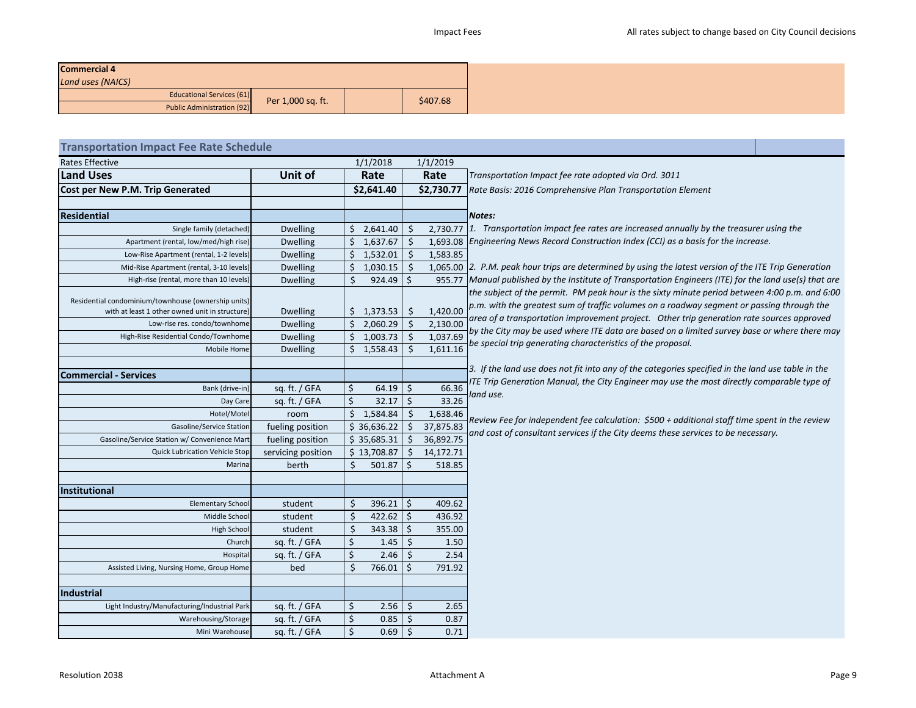| <b>Commercial 4</b>               |                   |          |
|-----------------------------------|-------------------|----------|
| Land uses (NAICS)                 |                   |          |
| <b>Educational Services (61)</b>  | Per 1,000 sq. ft. | \$407.68 |
| <b>Public Administration (92)</b> |                   |          |

| <b>Transportation Impact Fee Rate Schedule</b>                                                                                        |                                    |            |                        |                    |                      |                                                                                                                                                                                                                                                                                         |  |  |  |  |
|---------------------------------------------------------------------------------------------------------------------------------------|------------------------------------|------------|------------------------|--------------------|----------------------|-----------------------------------------------------------------------------------------------------------------------------------------------------------------------------------------------------------------------------------------------------------------------------------------|--|--|--|--|
| <b>Rates Effective</b>                                                                                                                |                                    | 1/1/2018   |                        | 1/1/2019           |                      |                                                                                                                                                                                                                                                                                         |  |  |  |  |
| <b>Land Uses</b>                                                                                                                      | Unit of                            | Rate       |                        |                    | Rate                 | Transportation Impact fee rate adopted via Ord. 3011                                                                                                                                                                                                                                    |  |  |  |  |
| Cost per New P.M. Trip Generated                                                                                                      |                                    | \$2,641.40 |                        |                    | \$2,730.77           | Rate Basis: 2016 Comprehensive Plan Transportation Element                                                                                                                                                                                                                              |  |  |  |  |
|                                                                                                                                       |                                    |            |                        |                    |                      |                                                                                                                                                                                                                                                                                         |  |  |  |  |
| <b>Residential</b>                                                                                                                    |                                    |            |                        |                    |                      | Notes:                                                                                                                                                                                                                                                                                  |  |  |  |  |
| Single family (detached)                                                                                                              | <b>Dwelling</b>                    |            | \$2,641.40             | \$                 |                      | 2,730.77 1. Transportation impact fee rates are increased annually by the treasurer using the                                                                                                                                                                                           |  |  |  |  |
| Apartment (rental, low/med/high rise)                                                                                                 | <b>Dwelling</b>                    | \$         | 1,637.67               | \$                 |                      | 1,693.08 Engineering News Record Construction Index (CCI) as a basis for the increase.                                                                                                                                                                                                  |  |  |  |  |
| Low-Rise Apartment (rental, 1-2 levels)                                                                                               | <b>Dwelling</b>                    | \$         | 1,532.01               | $\dot{\mathsf{s}}$ | 1,583.85             |                                                                                                                                                                                                                                                                                         |  |  |  |  |
| Mid-Rise Apartment (rental, 3-10 levels)                                                                                              | <b>Dwelling</b>                    | \$         | 1,030.15               | $\mathsf{S}$       |                      | 1,065.00 2. P.M. peak hour trips are determined by using the latest version of the ITE Trip Generation                                                                                                                                                                                  |  |  |  |  |
| High-rise (rental, more than 10 levels)                                                                                               | <b>Dwelling</b>                    | \$         | $924.49$ \$            |                    |                      | 955.77 Manual published by the Institute of Transportation Engineers (ITE) for the land use(s) that are                                                                                                                                                                                 |  |  |  |  |
| Residential condominium/townhouse (ownership units)<br>with at least 1 other owned unit in structure)<br>Low-rise res. condo/townhome | <b>Dwelling</b><br><b>Dwelling</b> | \$         | \$1,373.53<br>2,060.29 | Ś.<br>Ś.           | 1,420.00<br>2,130.00 | the subject of the permit. PM peak hour is the sixty minute period between 4:00 p.m. and 6:00<br>p.m. with the greatest sum of traffic volumes on a roadway segment or passing through the<br>area of a transportation improvement project. Other trip generation rate sources approved |  |  |  |  |
| High-Rise Residential Condo/Townhome                                                                                                  | <b>Dwelling</b>                    | Ś.         | 1,003.73               | Ŝ.                 | 1,037.69             | by the City may be used where ITE data are based on a limited survey base or where there may                                                                                                                                                                                            |  |  |  |  |
| Mobile Home                                                                                                                           | <b>Dwelling</b>                    |            | \$1,558.43             | Ś.                 | 1,611.16             | be special trip generating characteristics of the proposal.                                                                                                                                                                                                                             |  |  |  |  |
|                                                                                                                                       |                                    |            |                        |                    |                      |                                                                                                                                                                                                                                                                                         |  |  |  |  |
| <b>Commercial - Services</b>                                                                                                          |                                    |            |                        |                    |                      | 3. If the land use does not fit into any of the categories specified in the land use table in the                                                                                                                                                                                       |  |  |  |  |
| Bank (drive-in)                                                                                                                       | sq. ft. / GFA                      | \$         | $64.19$ \$             |                    | 66.36                | ITE Trip Generation Manual, the City Engineer may use the most directly comparable type of                                                                                                                                                                                              |  |  |  |  |
| Day Care                                                                                                                              | sq. ft. / GFA                      | Ś.         | 32.17                  | Ŝ.                 | 33.26                | land use.                                                                                                                                                                                                                                                                               |  |  |  |  |
| Hotel/Motel                                                                                                                           | room                               | \$         | 1,584.84               | \$                 | 1,638.46             | Review Fee for independent fee calculation: \$500 + additional staff time spent in the review                                                                                                                                                                                           |  |  |  |  |
| Gasoline/Service Station                                                                                                              | fueling position                   |            | \$36,636.22            | \$                 | 37,875.83            | and cost of consultant services if the City deems these services to be necessary.                                                                                                                                                                                                       |  |  |  |  |
| Gasoline/Service Station w/ Convenience Mart                                                                                          | fueling position                   |            | \$35,685.31            | $\zeta$            | 36,892.75            |                                                                                                                                                                                                                                                                                         |  |  |  |  |
| <b>Quick Lubrication Vehicle Stop</b>                                                                                                 | servicing position                 |            | \$13,708.87            | $\zeta$            | 14,172.71            |                                                                                                                                                                                                                                                                                         |  |  |  |  |
| Marina                                                                                                                                | berth                              | Ś          | 501.87                 | Ŝ.                 | 518.85               |                                                                                                                                                                                                                                                                                         |  |  |  |  |
|                                                                                                                                       |                                    |            |                        |                    |                      |                                                                                                                                                                                                                                                                                         |  |  |  |  |
| Institutional                                                                                                                         |                                    |            |                        |                    |                      |                                                                                                                                                                                                                                                                                         |  |  |  |  |
| <b>Elementary School</b>                                                                                                              | student                            | Ś          | 396.21                 | $\vert$ \$         | 409.62               |                                                                                                                                                                                                                                                                                         |  |  |  |  |
| Middle School                                                                                                                         | student                            | \$         | 422.62                 | \$ ا               | 436.92               |                                                                                                                                                                                                                                                                                         |  |  |  |  |
| High School                                                                                                                           | student                            | \$         | $343.38$ \$            |                    | 355.00               |                                                                                                                                                                                                                                                                                         |  |  |  |  |
| Church                                                                                                                                | sq. ft. / GFA                      | \$         | 1.45                   | S.                 | 1.50                 |                                                                                                                                                                                                                                                                                         |  |  |  |  |
| Hospital                                                                                                                              | sq. ft. / GFA                      | \$         | $2.46 \mid$ \$         |                    | 2.54                 |                                                                                                                                                                                                                                                                                         |  |  |  |  |
| Assisted Living, Nursing Home, Group Home                                                                                             | bed                                | Ś          | 766.01                 | - Ś                | 791.92               |                                                                                                                                                                                                                                                                                         |  |  |  |  |
|                                                                                                                                       |                                    |            |                        |                    |                      |                                                                                                                                                                                                                                                                                         |  |  |  |  |
| <b>Industrial</b>                                                                                                                     |                                    |            |                        |                    |                      |                                                                                                                                                                                                                                                                                         |  |  |  |  |
| Light Industry/Manufacturing/Industrial Park                                                                                          | sq. ft. / GFA                      | \$         | 2.56                   | S.                 | 2.65                 |                                                                                                                                                                                                                                                                                         |  |  |  |  |
| Warehousing/Storage                                                                                                                   | sq. ft. / GFA                      | \$         | 0.85                   | S.                 | 0.87                 |                                                                                                                                                                                                                                                                                         |  |  |  |  |
| Mini Warehouse                                                                                                                        | sq. ft. / GFA                      | \$         | 0.69                   | $\zeta$            | 0.71                 |                                                                                                                                                                                                                                                                                         |  |  |  |  |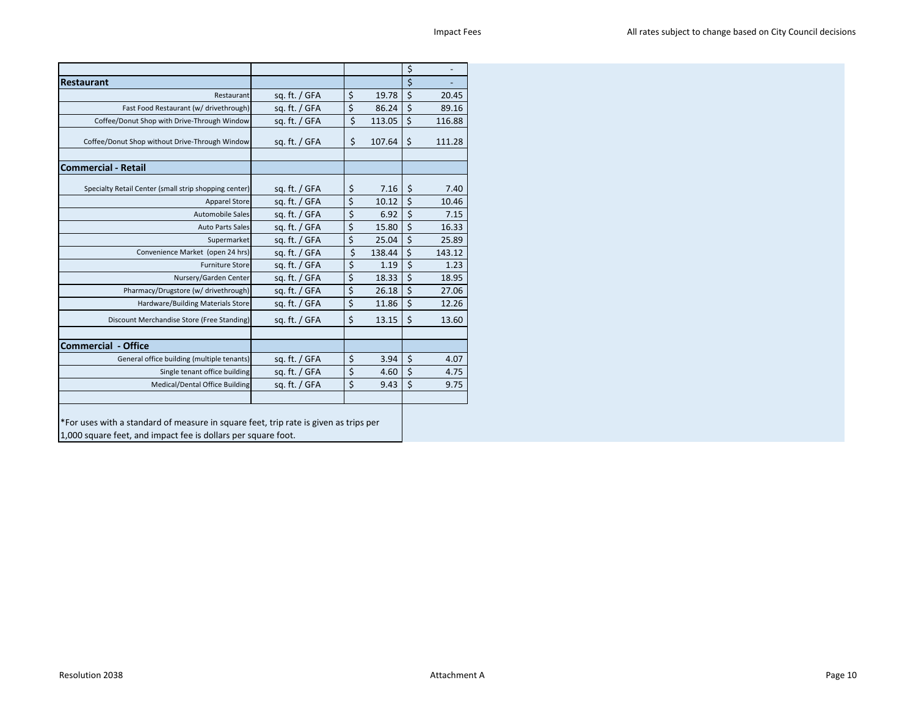|                                                                                                                                                       |                 |              | \$<br>$\overline{\phantom{0}}$ |
|-------------------------------------------------------------------------------------------------------------------------------------------------------|-----------------|--------------|--------------------------------|
| <b>Restaurant</b>                                                                                                                                     |                 |              | \$                             |
| Restaurant                                                                                                                                            | sq. ft. $/$ GFA | \$<br>19.78  | \$<br>20.45                    |
| Fast Food Restaurant (w/ drivethrough)                                                                                                                | sq. ft. / GFA   | \$<br>86.24  | \$<br>89.16                    |
| Coffee/Donut Shop with Drive-Through Window                                                                                                           | sq. ft. / GFA   | \$<br>113.05 | \$<br>116.88                   |
| Coffee/Donut Shop without Drive-Through Window                                                                                                        | sq. ft. / GFA   | \$<br>107.64 | \$<br>111.28                   |
| <b>Commercial - Retail</b>                                                                                                                            |                 |              |                                |
| Specialty Retail Center (small strip shopping center)                                                                                                 | sq. ft. $/$ GFA | \$<br>7.16   | \$<br>7.40                     |
| <b>Apparel Store</b>                                                                                                                                  | sq. ft. / GFA   | \$<br>10.12  | \$<br>10.46                    |
| Automobile Sales                                                                                                                                      | sg. ft. / GFA   | \$<br>6.92   | \$<br>7.15                     |
| <b>Auto Parts Sales</b>                                                                                                                               | sq. ft. / GFA   | \$<br>15.80  | \$<br>16.33                    |
| Supermarket                                                                                                                                           | sq. ft. / GFA   | \$<br>25.04  | \$<br>25.89                    |
| Convenience Market (open 24 hrs)                                                                                                                      | sq. ft. / GFA   | \$<br>138.44 | \$<br>143.12                   |
| <b>Furniture Store</b>                                                                                                                                | sq. ft. $/$ GFA | \$<br>1.19   | \$<br>1.23                     |
| Nursery/Garden Center                                                                                                                                 | sq. ft. / GFA   | \$<br>18.33  | \$<br>18.95                    |
| Pharmacy/Drugstore (w/ drivethrough)                                                                                                                  | sq. ft. $/$ GFA | \$<br>26.18  | \$<br>27.06                    |
| Hardware/Building Materials Store                                                                                                                     | sq. ft. $/$ GFA | \$<br>11.86  | \$<br>12.26                    |
| Discount Merchandise Store (Free Standing)                                                                                                            | sq. ft. $/$ GFA | \$<br>13.15  | \$<br>13.60                    |
| <b>Commercial - Office</b>                                                                                                                            |                 |              |                                |
| General office building (multiple tenants)                                                                                                            | sq. ft. $/$ GFA | \$<br>3.94   | \$<br>4.07                     |
| Single tenant office building                                                                                                                         | sq. ft. / GFA   | \$<br>4.60   | \$<br>4.75                     |
| Medical/Dental Office Building                                                                                                                        | sq. ft. / GFA   | \$<br>9.43   | \$<br>9.75                     |
| *For uses with a standard of measure in square feet, trip rate is given as trips per<br>1,000 square feet, and impact fee is dollars per square foot. |                 |              |                                |